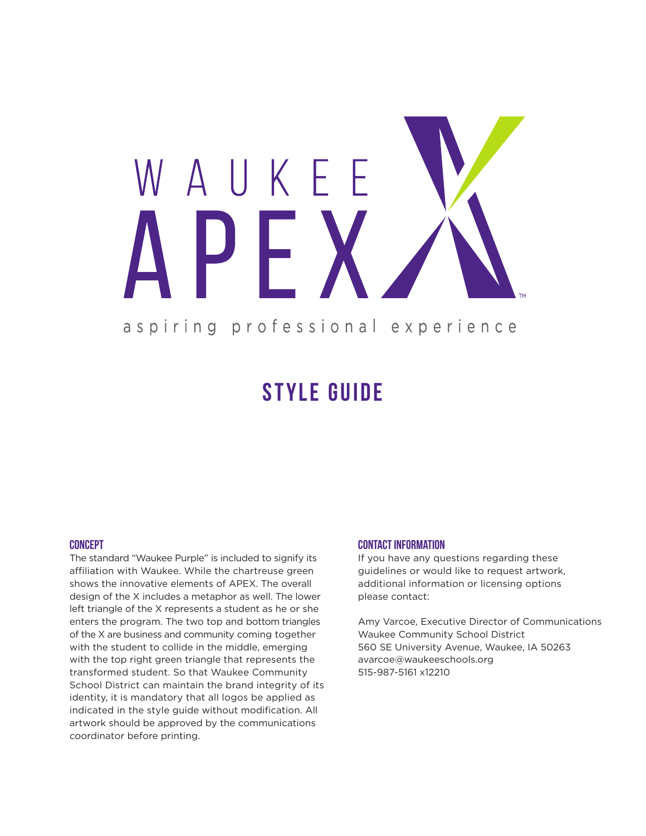

## **STYLE GUIDE**

#### **Concept**

The standard "Waukee Purple" is included to signify its affiliation with Waukee. While the chartreuse green shows the innovative elements of APEX. The overall design of the X includes a metaphor as well. The lower left triangle of the X represents a student as he or she enters the program. The two top and bottom triangles of the X are business and community coming together with the student to collide in the middle, emerging with the top right green triangle that represents the transformed student. So that Waukee Community School District can maintain the brand integrity of its identity, it is mandatory that all logos be applied as indicated in the style guide without modification. All artwork should be approved by the communications coordinator before printing.

#### **Contact information**

If you have any questions regarding these guidelines or would like to request artwork, additional information or licensing options please contact:

Amy Varcoe, Executive Director of Communications Waukee Community School District 560 SE University Avenue, Waukee, IA 50263 avarcoe@waukeeschools.org 515-987-5161 x12210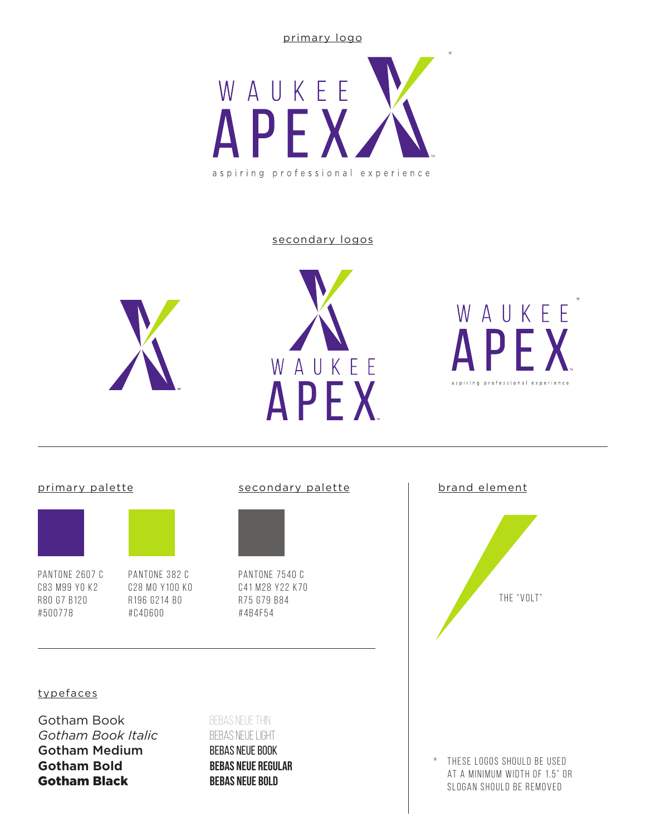primary logo



#### secondary logos







#### primary palette



pantone 2607 C c83 m99 y0 k2 R80 G7 B120 #500778

pantone 382 C

c28 m0 y100 k0 R196 G214 B0 #c4d600

#### secondary palette | brand element



pantone 7540 C c41 m28 y22 k70 r75 g79 b84 #4b4f54



#### typefaces

Gotham Book *Gotham Book Italic* Gotham Medium **Gotham Bold** Gotham Black

### Bebas neue thin Bebas neue Light Bebas neue book Bebas neue regular **Bebas neue bold**

\* these logos should be used at a minimum width of 1.5" or slogan should be removed